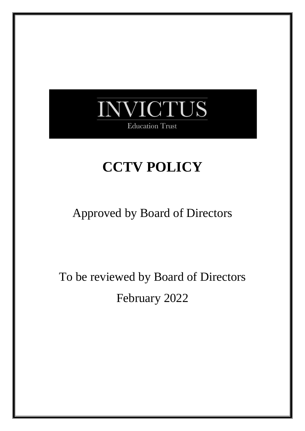

# **CCTV POLICY**

### Approved by Board of Directors

To be reviewed by Board of Directors February 2022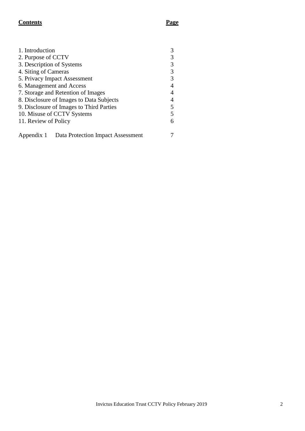### **Contents Page**

| 1. Introduction                                 |  |  |  |  |
|-------------------------------------------------|--|--|--|--|
| 2. Purpose of CCTV                              |  |  |  |  |
| 3. Description of Systems                       |  |  |  |  |
| 4. Siting of Cameras                            |  |  |  |  |
| 5. Privacy Impact Assessment                    |  |  |  |  |
| 6. Management and Access                        |  |  |  |  |
| 7. Storage and Retention of Images              |  |  |  |  |
| 8. Disclosure of Images to Data Subjects        |  |  |  |  |
| 9. Disclosure of Images to Third Parties        |  |  |  |  |
| 10. Misuse of CCTV Systems                      |  |  |  |  |
| 11. Review of Policy                            |  |  |  |  |
|                                                 |  |  |  |  |
| Data Protection Impact Assessment<br>Appendix 1 |  |  |  |  |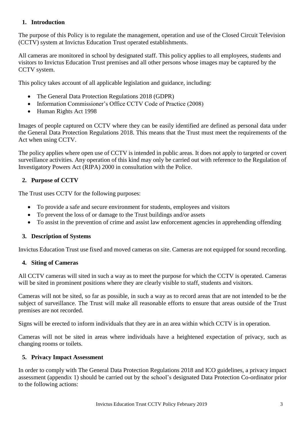### **1. Introduction**

The purpose of this Policy is to regulate the management, operation and use of the Closed Circuit Television (CCTV) system at Invictus Education Trust operated establishments.

All cameras are monitored in school by designated staff. This policy applies to all employees, students and visitors to Invictus Education Trust premises and all other persons whose images may be captured by the CCTV system.

This policy takes account of all applicable legislation and guidance, including:

- The General Data Protection Regulations 2018 (GDPR)
- Information Commissioner's Office CCTV Code of Practice (2008)
- Human Rights Act 1998

Images of people captured on CCTV where they can be easily identified are defined as personal data under the General Data Protection Regulations 2018. This means that the Trust must meet the requirements of the Act when using CCTV.

The policy applies where open use of CCTV is intended in public areas. It does not apply to targeted or covert surveillance activities. Any operation of this kind may only be carried out with reference to the Regulation of Investigatory Powers Act (RIPA) 2000 in consultation with the Police.

### **2. Purpose of CCTV**

The Trust uses CCTV for the following purposes:

- To provide a safe and secure environment for students, employees and visitors
- To prevent the loss of or damage to the Trust buildings and/or assets
- To assist in the prevention of crime and assist law enforcement agencies in apprehending offending

### **3. Description of Systems**

Invictus Education Trust use fixed and moved cameras on site. Cameras are not equipped for sound recording.

### **4. Siting of Cameras**

All CCTV cameras will sited in such a way as to meet the purpose for which the CCTV is operated. Cameras will be sited in prominent positions where they are clearly visible to staff, students and visitors.

Cameras will not be sited, so far as possible, in such a way as to record areas that are not intended to be the subject of surveillance. The Trust will make all reasonable efforts to ensure that areas outside of the Trust premises are not recorded.

Signs will be erected to inform individuals that they are in an area within which CCTV is in operation.

Cameras will not be sited in areas where individuals have a heightened expectation of privacy, such as changing rooms or toilets.

### **5. Privacy Impact Assessment**

In order to comply with The General Data Protection Regulations 2018 and ICO guidelines, a privacy impact assessment (appendix 1) should be carried out by the school's designated Data Protection Co-ordinator prior to the following actions: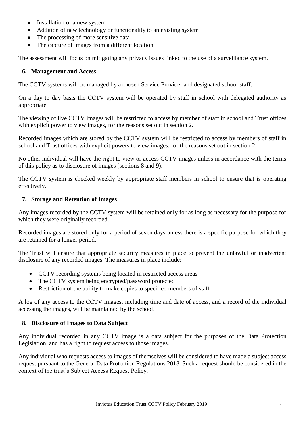- Installation of a new system
- Addition of new technology or functionality to an existing system
- The processing of more sensitive data
- The capture of images from a different location

The assessment will focus on mitigating any privacy issues linked to the use of a surveillance system.

### **6. Management and Access**

The CCTV systems will be managed by a chosen Service Provider and designated school staff.

On a day to day basis the CCTV system will be operated by staff in school with delegated authority as appropriate.

The viewing of live CCTV images will be restricted to access by member of staff in school and Trust offices with explicit power to view images, for the reasons set out in section 2.

Recorded images which are stored by the CCTV system will be restricted to access by members of staff in school and Trust offices with explicit powers to view images, for the reasons set out in section 2.

No other individual will have the right to view or access CCTV images unless in accordance with the terms of this policy as to disclosure of images (sections 8 and 9).

The CCTV system is checked weekly by appropriate staff members in school to ensure that is operating effectively.

### **7. Storage and Retention of Images**

Any images recorded by the CCTV system will be retained only for as long as necessary for the purpose for which they were originally recorded.

Recorded images are stored only for a period of seven days unless there is a specific purpose for which they are retained for a longer period.

The Trust will ensure that appropriate security measures in place to prevent the unlawful or inadvertent disclosure of any recorded images. The measures in place include:

- CCTV recording systems being located in restricted access areas
- The CCTV system being encrypted/password protected
- Restriction of the ability to make copies to specified members of staff

A log of any access to the CCTV images, including time and date of access, and a record of the individual accessing the images, will be maintained by the school.

### **8. Disclosure of Images to Data Subject**

Any individual recorded in any CCTV image is a data subject for the purposes of the Data Protection Legislation, and has a right to request access to those images.

Any individual who requests access to images of themselves will be considered to have made a subject access request pursuant to the General Data Protection Regulations 2018. Such a request should be considered in the context of the trust's Subject Access Request Policy.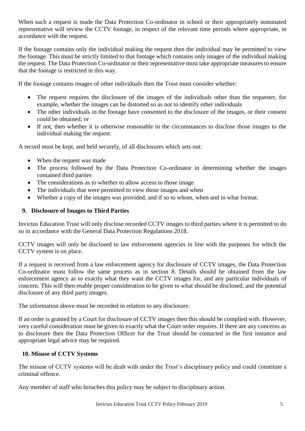When such a request is made the Data Protection Co-ordinator in school or their appropriately nominated representative will review the CCTV footage, in respect of the relevant time periods where appropriate, in accordance with the request.

If the footage contains only the individual making the request then the individual may be permitted to view the footage. This must be strictly limited to that footage which contains only images of the individual making the request. The Data Protection Co-ordinator or their representative must take appropriate measures to ensure that the footage is restricted in this way.

If the footage contains images of other individuals then the Trust must consider whether:

- The request requires the disclosure of the images of the individuals other than the requester, for example, whether the images can be distorted so as not to identify other individuals
- The other individuals in the footage have consented to the disclosure of the images, or their consent could be obtained; or
- If not, then whether it is otherwise reasonable in the circumstances to disclose those images to the individual making the request.

A record must be kept, and held securely, of all disclosures which sets out:

- When the request was made
- The process followed by the Data Protection Co-ordinator in determining whether the images contained third parties
- The considerations as to whether to allow access to those image
- The individuals that were permitted to view those images and when
- Whether a copy of the images was provided, and if so to whom, when and in what format.

### **9. Disclosure of Images to Third Parties**

Invictus Education Trust will only disclose recorded CCTV images to third parties where it is permitted to do so in accordance with the General Data Protection Regulations 2018.

CCTV images will only be disclosed to law enforcement agencies in line with the purposes for which the CCTV system is on place.

If a request is received from a law enforcement agency for disclosure of CCTV images, the Data Protection Co-ordinator must follow the same process as in section 8. Details should be obtained from the law enforcement agency as to exactly what they want the CCTV images for, and any particular individuals of concern. This will then enable proper consideration to be given to what should be disclosed, and the potential disclosure of any third party images.

The information above must be recorded in relation to any disclosure.

If an order is granted by a Court for disclosure of CCTV images then this should be complied with. However, very careful consideration must be given to exactly what the Court order requires. If there are any concerns as to disclosure then the Data Protection Officer for the Trust should be contacted in the first instance and appropriate legal advice may be required.

### **10. Misuse of CCTV Systems**

The misuse of CCTV systems will be dealt with under the Trust's disciplinary policy and could constitute a criminal offence.

Any member of staff who breaches this policy may be subject to disciplinary action.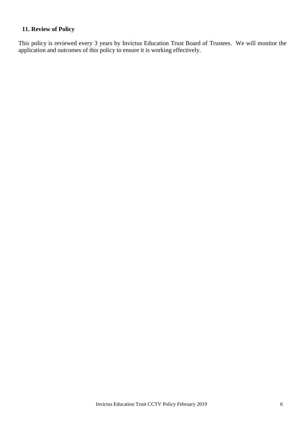### **11. Review of Policy**

This policy is reviewed every 3 years by Invictus Education Trust Board of Trustees. We will monitor the application and outcomes of this policy to ensure it is working effectively.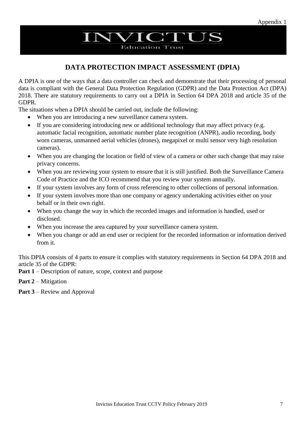## **NVICTUS**

**Education Trust** 

### **DATA PROTECTION IMPACT ASSESSMENT (DPIA)**

A DPIA is one of the ways that a data controller can check and demonstrate that their processing of personal data is compliant with the General Data Protection Regulation (GDPR) and the Data Protection Act (DPA) 2018. There are statutory requirements to carry out a DPIA in Section 64 DPA 2018 and article 35 of the GDPR.

The situations when a DPIA should be carried out, include the following:

- When you are introducing a new surveillance camera system.
- If you are considering introducing new or additional technology that may affect privacy (e.g. automatic facial recognition, automatic number plate recognition (ANPR), audio recording, body worn cameras, unmanned aerial vehicles (drones), megapixel or multi sensor very high resolution cameras).
- When you are changing the location or field of view of a camera or other such change that may raise privacy concerns.
- When you are reviewing your system to ensure that it is still justified. Both the Surveillance Camera Code of Practice and the ICO recommend that you review your system annually.
- If your system involves any form of cross referencing to other collections of personal information.
- If your system involves more than one company or agency undertaking activities either on your behalf or in their own right.
- When you change the way in which the recorded images and information is handled, used or disclosed.
- When you increase the area captured by your surveillance camera system.
- When you change or add an end user or recipient for the recorded information or information derived from it.

This DPIA consists of 4 parts to ensure it complies with statutory requirements in Section 64 DPA 2018 and article 35 of the GDPR:

- **Part 1** Description of nature, scope, context and purpose
- **Part 2** Mitigation
- **Part 3** Review and Approval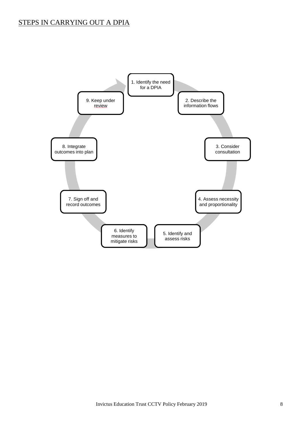### STEPS IN CARRYING OUT A DPIA

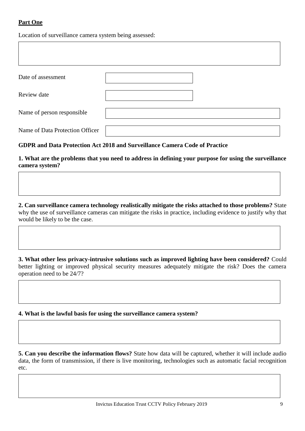### **Part One**

Location of surveillance camera system being assessed:

| Date of assessment              |  |
|---------------------------------|--|
| Review date                     |  |
| Name of person responsible      |  |
| Name of Data Protection Officer |  |

### **GDPR and Data Protection Act 2018 and Surveillance Camera Code of Practice**

**1. What are the problems that you need to address in defining your purpose for using the surveillance camera system?** 

**2. Can surveillance camera technology realistically mitigate the risks attached to those problems?** State why the use of surveillance cameras can mitigate the risks in practice, including evidence to justify why that would be likely to be the case.

**3. What other less privacy-intrusive solutions such as improved lighting have been considered?** Could better lighting or improved physical security measures adequately mitigate the risk? Does the camera operation need to be 24/7?

**4. What is the lawful basis for using the surveillance camera system?**

**5. Can you describe the information flows?** State how data will be captured, whether it will include audio data, the form of transmission, if there is live monitoring, technologies such as automatic facial recognition etc.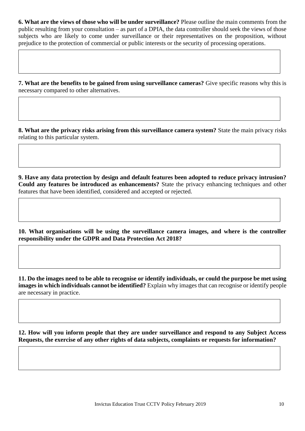**6. What are the views of those who will be under surveillance?** Please outline the main comments from the public resulting from your consultation – as part of a DPIA, the data controller should seek the views of those subjects who are likely to come under surveillance or their representatives on the proposition, without prejudice to the protection of commercial or public interests or the security of processing operations.

**7. What are the benefits to be gained from using surveillance cameras?** Give specific reasons why this is necessary compared to other alternatives.

**8. What are the privacy risks arising from this surveillance camera system?** State the main privacy risks relating to this particular system.

**9. Have any data protection by design and default features been adopted to reduce privacy intrusion? Could any features be introduced as enhancements?** State the privacy enhancing techniques and other features that have been identified, considered and accepted or rejected.

**10. What organisations will be using the surveillance camera images, and where is the controller responsibility under the GDPR and Data Protection Act 2018?** 

**11. Do the images need to be able to recognise or identify individuals, or could the purpose be met using images in which individuals cannot be identified?** Explain why images that can recognise or identify people are necessary in practice.

**12. How will you inform people that they are under surveillance and respond to any Subject Access Requests, the exercise of any other rights of data subjects, complaints or requests for information?**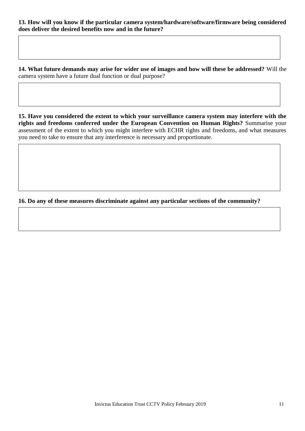**14. What future demands may arise for wider use of images and how will these be addressed?** Will the camera system have a future dual function or dual purpose?

**15. Have you considered the extent to which your surveillance camera system may interfere with the rights and freedoms conferred under the European Convention on Human Rights?** Summarise your assessment of the extent to which you might interfere with ECHR rights and freedoms, and what measures you need to take to ensure that any interference is necessary and proportionate.

### **16. Do any of these measures discriminate against any particular sections of the community?**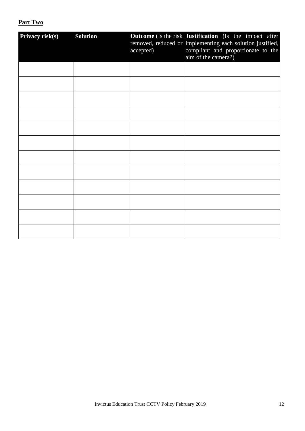### **Part Two**

| Privacy risk(s) | <b>Solution</b> | accepted) | <b>Outcome</b> (Is the risk Justification (Is the impact after<br>removed, reduced or implementing each solution justified,<br>compliant and proportionate to the<br>aim of the camera?) |
|-----------------|-----------------|-----------|------------------------------------------------------------------------------------------------------------------------------------------------------------------------------------------|
|                 |                 |           |                                                                                                                                                                                          |
|                 |                 |           |                                                                                                                                                                                          |
|                 |                 |           |                                                                                                                                                                                          |
|                 |                 |           |                                                                                                                                                                                          |
|                 |                 |           |                                                                                                                                                                                          |
|                 |                 |           |                                                                                                                                                                                          |
|                 |                 |           |                                                                                                                                                                                          |
|                 |                 |           |                                                                                                                                                                                          |
|                 |                 |           |                                                                                                                                                                                          |
|                 |                 |           |                                                                                                                                                                                          |
|                 |                 |           |                                                                                                                                                                                          |
|                 |                 |           |                                                                                                                                                                                          |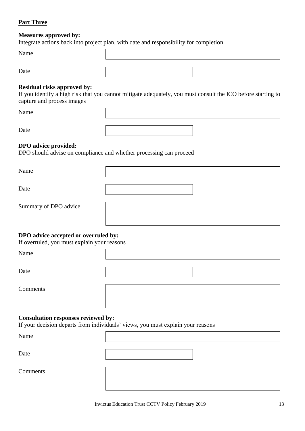### **Part Three**

#### **Measures approved by:**

Integrate actions back into project plan, with date and responsibility for completion

Name

Date

### **Residual risks approved by:**

If you identify a high risk that you cannot mitigate adequately, you must consult the ICO before starting to capture and process images

Name

Date

### **DPO advice provided:**

DPO should advise on compliance and whether processing can proceed

Name

Date

Summary of DPO advice

### **DPO advice accepted or overruled by:**

If overruled, you must explain your reasons

Name

Date

Comments

### **Consultation responses reviewed by:**

If your decision departs from individuals' views, you must explain your reasons

Name

Date

Comments